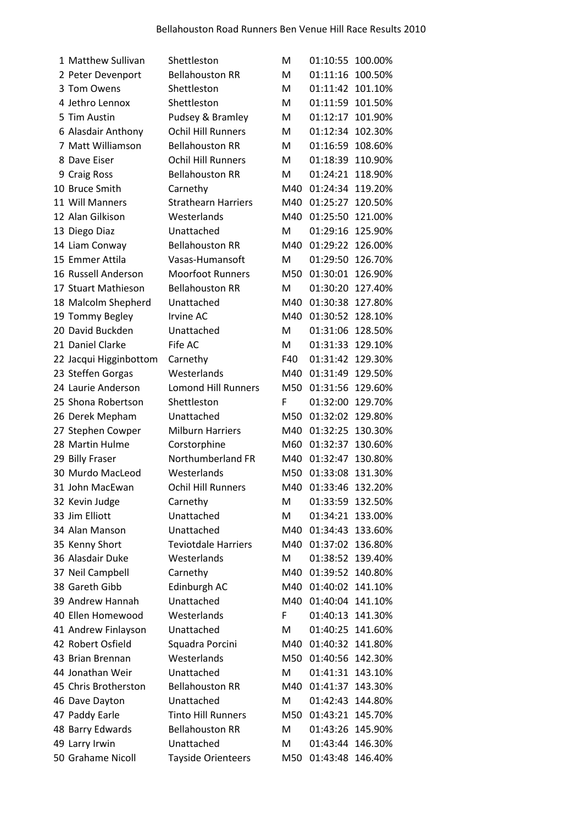| 1 Matthew Sullivan                  | Shettleston                       | м   | 01:10:55         | 100.00% |
|-------------------------------------|-----------------------------------|-----|------------------|---------|
| 2 Peter Devenport                   | <b>Bellahouston RR</b>            | M   | 01:11:16         | 100.50% |
| 3 Tom Owens                         | Shettleston                       | м   | 01:11:42         | 101.10% |
| 4 Jethro Lennox                     | Shettleston                       | M   | 01:11:59         | 101.50% |
| 5 Tim Austin                        | Pudsey & Bramley                  | М   | 01:12:17         | 101.90% |
| 6 Alasdair Anthony                  | <b>Ochil Hill Runners</b>         | м   | 01:12:34         | 102.30% |
| 7 Matt Williamson                   | <b>Bellahouston RR</b>            | M   | 01:16:59         | 108.60% |
| 8 Dave Eiser                        | <b>Ochil Hill Runners</b>         | M   | 01:18:39         | 110.90% |
| 9 Craig Ross                        | <b>Bellahouston RR</b>            | M   | 01:24:21         | 118.90% |
| 10 Bruce Smith                      | Carnethy                          | M40 | 01:24:34         | 119.20% |
| 11 Will Manners                     | <b>Strathearn Harriers</b>        | M40 | 01:25:27         | 120.50% |
| 12 Alan Gilkison                    | Westerlands                       | M40 | 01:25:50         | 121.00% |
| 13 Diego Diaz                       | Unattached                        | M   | 01:29:16         | 125.90% |
| 14 Liam Conway                      | <b>Bellahouston RR</b>            | M40 | 01:29:22         | 126.00% |
| 15 Emmer Attila                     | Vasas-Humansoft                   | M   | 01:29:50         | 126.70% |
| 16 Russell Anderson                 | <b>Moorfoot Runners</b>           | M50 | 01:30:01         | 126.90% |
| 17 Stuart Mathieson                 | <b>Bellahouston RR</b>            | M   | 01:30:20 127.40% |         |
| 18 Malcolm Shepherd                 | Unattached                        | M40 | 01:30:38         | 127.80% |
| 19 Tommy Begley                     | Irvine AC                         | M40 | 01:30:52 128.10% |         |
| 20 David Buckden                    | Unattached                        | M   | 01:31:06         | 128.50% |
| 21 Daniel Clarke                    | Fife AC                           | M   | 01:31:33         | 129.10% |
| 22 Jacqui Higginbottom              | Carnethy                          | F40 | 01:31:42         | 129.30% |
| 23 Steffen Gorgas                   | Westerlands                       | M40 | 01:31:49         | 129.50% |
| 24 Laurie Anderson                  | <b>Lomond Hill Runners</b>        | M50 | 01:31:56 129.60% |         |
| 25 Shona Robertson                  | Shettleston                       | F   | 01:32:00         | 129.70% |
| 26 Derek Mepham                     | Unattached                        | M50 | 01:32:02         | 129.80% |
| 27 Stephen Cowper                   | <b>Milburn Harriers</b>           | M40 | 01:32:25         | 130.30% |
| 28 Martin Hulme                     |                                   | M60 | 01:32:37         | 130.60% |
|                                     | Corstorphine<br>Northumberland FR | M40 | 01:32:47         | 130.80% |
| 29 Billy Fraser<br>30 Murdo MacLeod |                                   |     |                  |         |
|                                     | Westerlands                       | M50 | 01:33:08         | 131.30% |
| 31 John MacEwan                     | <b>Ochil Hill Runners</b>         | M40 | 01:33:46         | 132.20% |
| 32 Kevin Judge                      | Carnethy                          | M   | 01:33:59         | 132.50% |
| 33 Jim Elliott                      | Unattached                        | M   | 01:34:21         | 133.00% |
| 34 Alan Manson                      | Unattached                        | M40 | 01:34:43         | 133.60% |
| 35 Kenny Short                      | <b>Teviotdale Harriers</b>        | M40 | 01:37:02         | 136.80% |
| 36 Alasdair Duke                    | Westerlands                       | M   | 01:38:52         | 139.40% |
| 37 Neil Campbell                    | Carnethy                          | M40 | 01:39:52         | 140.80% |
| 38 Gareth Gibb                      | Edinburgh AC                      | M40 | 01:40:02         | 141.10% |
| 39 Andrew Hannah                    | Unattached                        | M40 | 01:40:04         | 141.10% |
| 40 Ellen Homewood                   | Westerlands                       | F   | 01:40:13         | 141.30% |
| 41 Andrew Finlayson                 | Unattached                        | M   | 01:40:25 141.60% |         |
| 42 Robert Osfield                   | Squadra Porcini                   | M40 | 01:40:32         | 141.80% |
| 43 Brian Brennan                    | Westerlands                       | M50 | 01:40:56         | 142.30% |
| 44 Jonathan Weir                    | Unattached                        | M   | 01:41:31         | 143.10% |
| 45 Chris Brotherston                | <b>Bellahouston RR</b>            | M40 | 01:41:37         | 143.30% |
| 46 Dave Dayton                      | Unattached                        | M   | 01:42:43         | 144.80% |
| 47 Paddy Earle                      | <b>Tinto Hill Runners</b>         | M50 | 01:43:21 145.70% |         |
| 48 Barry Edwards                    | <b>Bellahouston RR</b>            | Μ   | 01:43:26         | 145.90% |
| 49 Larry Irwin                      | Unattached                        | M   | 01:43:44         | 146.30% |
| 50 Grahame Nicoll                   | <b>Tayside Orienteers</b>         | M50 | 01:43:48         | 146.40% |